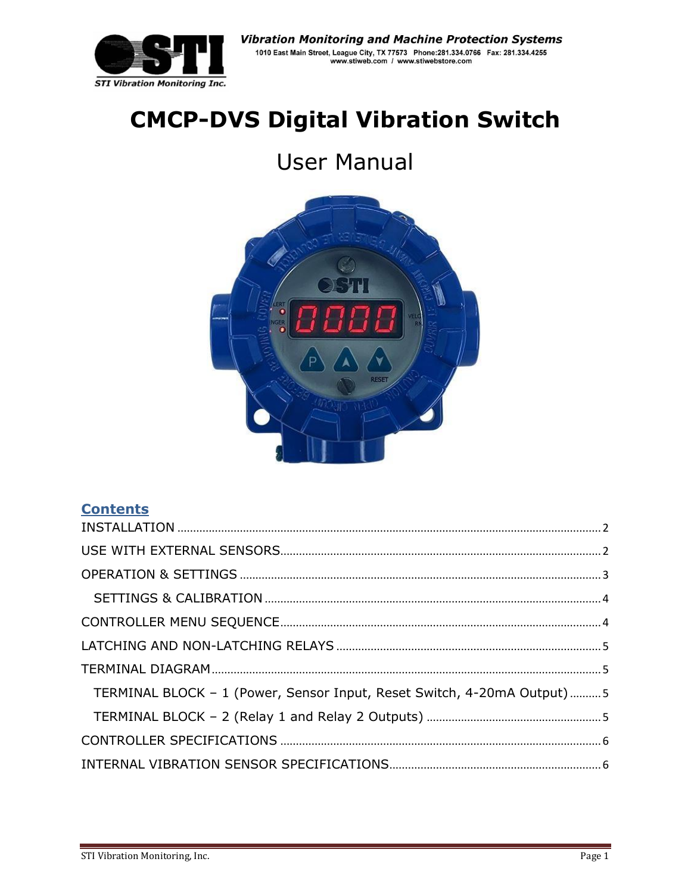

# **CMCP-DVS Digital Vibration Switch**

# **User Manual**



## **Contents**

| TERMINAL BLOCK - 1 (Power, Sensor Input, Reset Switch, 4-20mA Output)5 |  |
|------------------------------------------------------------------------|--|
|                                                                        |  |
|                                                                        |  |
|                                                                        |  |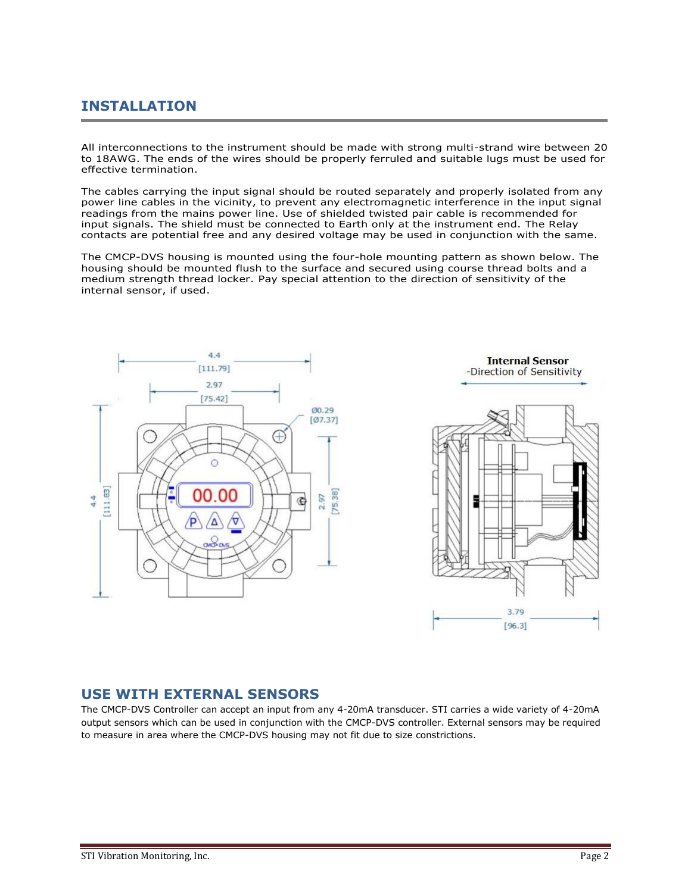## <span id="page-1-0"></span>**INSTALLATION**

All interconnections to the instrument should be made with strong multi-strand wire between 20 to 18AWG. The ends of the wires should be properly ferruled and suitable lugs must be used for effective termination.

The cables carrying the input signal should be routed separately and properly isolated from any power line cables in the vicinity, to prevent any electromagnetic interference in the input signal readings from the mains power line. Use of shielded twisted pair cable is recommended for input signals. The shield must be connected to Earth only at the instrument end. The Relay contacts are potential free and any desired voltage may be used in conjunction with the same.

The CMCP-DVS housing is mounted using the four-hole mounting pattern as shown below. The housing should be mounted flush to the surface and secured using course thread bolts and a medium strength thread locker. Pay special attention to the direction of sensitivity of the internal sensor, if used.







#### <span id="page-1-1"></span>**USE WITH EXTERNAL SENSORS**

The CMCP-DVS Controller can accept an input from any 4-20mA transducer. STI carries a wide variety of 4-20mA output sensors which can be used in conjunction with the CMCP-DVS controller. External sensors may be required to measure in area where the CMCP-DVS housing may not fit due to size constrictions.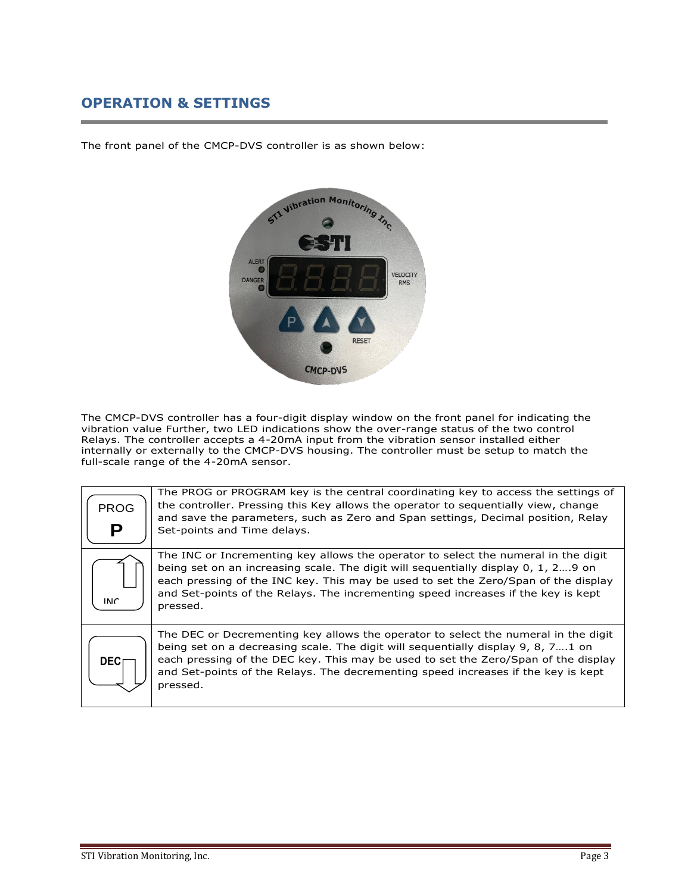### <span id="page-2-0"></span>**OPERATION & SETTINGS**

The front panel of the CMCP-DVS controller is as shown below:



The CMCP-DVS controller has a four-digit display window on the front panel for indicating the vibration value Further, two LED indications show the over-range status of the two control Relays. The controller accepts a 4-20mA input from the vibration sensor installed either internally or externally to the CMCP-DVS housing. The controller must be setup to match the full-scale range of the 4-20mA sensor.

| <b>PROG</b><br>Р | The PROG or PROGRAM key is the central coordinating key to access the settings of<br>the controller. Pressing this Key allows the operator to sequentially view, change<br>and save the parameters, such as Zero and Span settings, Decimal position, Relay<br>Set-points and Time delays.                                                                     |
|------------------|----------------------------------------------------------------------------------------------------------------------------------------------------------------------------------------------------------------------------------------------------------------------------------------------------------------------------------------------------------------|
| <b>INIC</b>      | The INC or Incrementing key allows the operator to select the numeral in the digit<br>being set on an increasing scale. The digit will sequentially display 0, 1, 29 on<br>each pressing of the INC key. This may be used to set the Zero/Span of the display<br>and Set-points of the Relays. The incrementing speed increases if the key is kept<br>pressed. |
| <b>DEC</b>       | The DEC or Decrementing key allows the operator to select the numeral in the digit<br>being set on a decreasing scale. The digit will sequentially display 9, 8, 71 on<br>each pressing of the DEC key. This may be used to set the Zero/Span of the display<br>and Set-points of the Relays. The decrementing speed increases if the key is kept<br>pressed.  |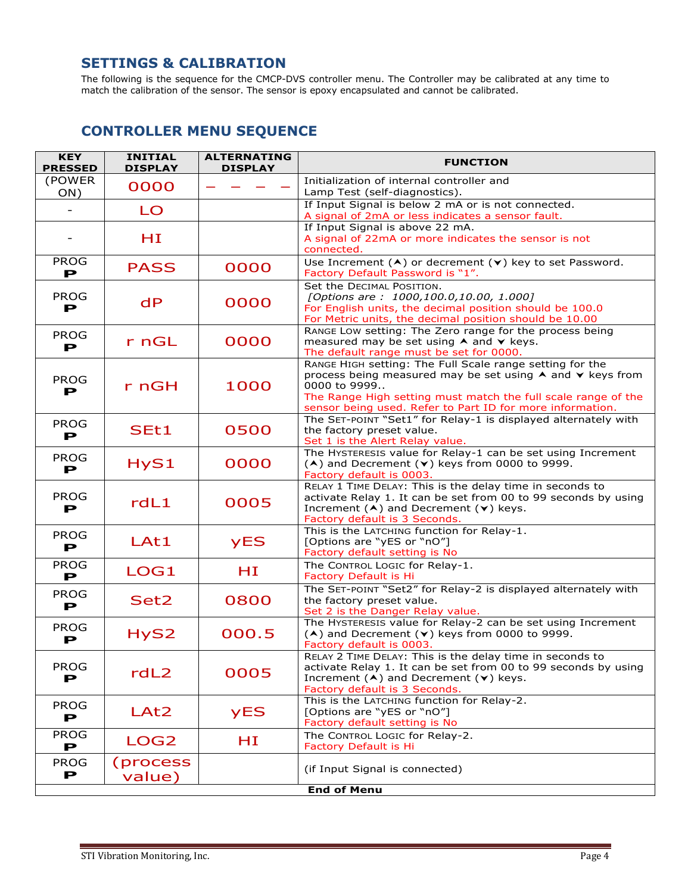#### <span id="page-3-0"></span>**SETTINGS & CALIBRATION**

<span id="page-3-1"></span>The following is the sequence for the CMCP-DVS controller menu. The Controller may be calibrated at any time to match the calibration of the sensor. The sensor is epoxy encapsulated and cannot be calibrated.

### **CONTROLLER MENU SEQUENCE**

| <b>KEY</b><br><b>PRESSED</b> | <b>INITIAL</b><br><b>DISPLAY</b> | <b>ALTERNATING</b><br><b>DISPLAY</b> | <b>FUNCTION</b>                                                                                                                                                                                                                                                     |
|------------------------------|----------------------------------|--------------------------------------|---------------------------------------------------------------------------------------------------------------------------------------------------------------------------------------------------------------------------------------------------------------------|
| (POWER<br>ON)                | 0000                             |                                      | Initialization of internal controller and<br>Lamp Test (self-diagnostics).                                                                                                                                                                                          |
| $\overline{\phantom{a}}$     | LO                               |                                      | If Input Signal is below 2 mA or is not connected.<br>A signal of 2mA or less indicates a sensor fault.                                                                                                                                                             |
| $\overline{\phantom{a}}$     | HI                               |                                      | If Input Signal is above 22 mA.<br>A signal of 22mA or more indicates the sensor is not<br>connected.                                                                                                                                                               |
| <b>PROG</b><br>Р             | <b>PASS</b>                      | 0000                                 | Use Increment $(A)$ or decrement $(v)$ key to set Password.<br>Factory Default Password is "1".                                                                                                                                                                     |
| <b>PROG</b><br>Р             | dP                               | 0000                                 | Set the DECIMAL POSITION.<br>[Options are: 1000,100.0,10.00, 1.000]<br>For English units, the decimal position should be 100.0<br>For Metric units, the decimal position should be 10.00                                                                            |
| <b>PROG</b><br>Р             | r nGL                            | 0000                                 | RANGE LOW setting: The Zero range for the process being<br>measured may be set using $\land$ and $\lor$ keys.<br>The default range must be set for 0000.                                                                                                            |
| <b>PROG</b><br>Р             | r nGH                            | 1000                                 | RANGE HIGH setting: The Full Scale range setting for the<br>process being measured may be set using A and V keys from<br>0000 to 9999<br>The Range High setting must match the full scale range of the<br>sensor being used. Refer to Part ID for more information. |
| <b>PROG</b><br>P             | SEt1                             | 0500                                 | The SET-POINT "Set1" for Relay-1 is displayed alternately with<br>the factory preset value.<br>Set 1 is the Alert Relay value.                                                                                                                                      |
| <b>PROG</b><br>Р             | HyS1                             | 0000                                 | The HYSTERESIS value for Relay-1 can be set using Increment<br>$(A)$ and Decrement $(V)$ keys from 0000 to 9999.<br>Factory default is 0003.                                                                                                                        |
| <b>PROG</b><br>Р             | rdL1                             | 0005                                 | RELAY 1 TIME DELAY: This is the delay time in seconds to<br>activate Relay 1. It can be set from 00 to 99 seconds by using<br>Increment $(A)$ and Decrement $(v)$ keys.<br>Factory default is 3 Seconds.                                                            |
| <b>PROG</b><br>P             | LAt1                             | <b>yES</b>                           | This is the LATCHING function for Relay-1.<br>[Options are "yES or "nO"]<br>Factory default setting is No                                                                                                                                                           |
| <b>PROG</b><br>Р             | LOG1                             | HI                                   | The CONTROL LOGIC for Relay-1.<br>Factory Default is Hi                                                                                                                                                                                                             |
| <b>PROG</b><br>Р             | Set2                             | 0800                                 | The SET-POINT "Set2" for Relay-2 is displayed alternately with<br>the factory preset value.<br>Set 2 is the Danger Relay value.                                                                                                                                     |
| <b>PROG</b><br>P             | HyS2                             | 000.5                                | The HYSTERESIS value for Relay-2 can be set using Increment<br>$(A)$ and Decrement $(V)$ keys from 0000 to 9999.<br><b>Eactory default is 0003.</b>                                                                                                                 |
| <b>PROG</b><br>Р             | rdL2                             | 0005                                 | RELAY 2 TIME DELAY: This is the delay time in seconds to<br>activate Relay 1. It can be set from 00 to 99 seconds by using<br>Increment $(A)$ and Decrement $(v)$ keys.<br>Factory default is 3 Seconds.                                                            |
| <b>PROG</b><br>P             | LAt <sub>2</sub>                 | <b>yES</b>                           | This is the LATCHING function for Relay-2.<br>[Options are "yES or "nO"]<br>Factory default setting is No                                                                                                                                                           |
| <b>PROG</b><br>Р             | LOG <sub>2</sub>                 | ΗI                                   | The CONTROL LOGIC for Relay-2.<br><b>Factory Default is Hi</b>                                                                                                                                                                                                      |
| <b>PROG</b><br>P             | (process)<br>value)              |                                      | (if Input Signal is connected)                                                                                                                                                                                                                                      |
|                              |                                  |                                      | <b>End of Menu</b>                                                                                                                                                                                                                                                  |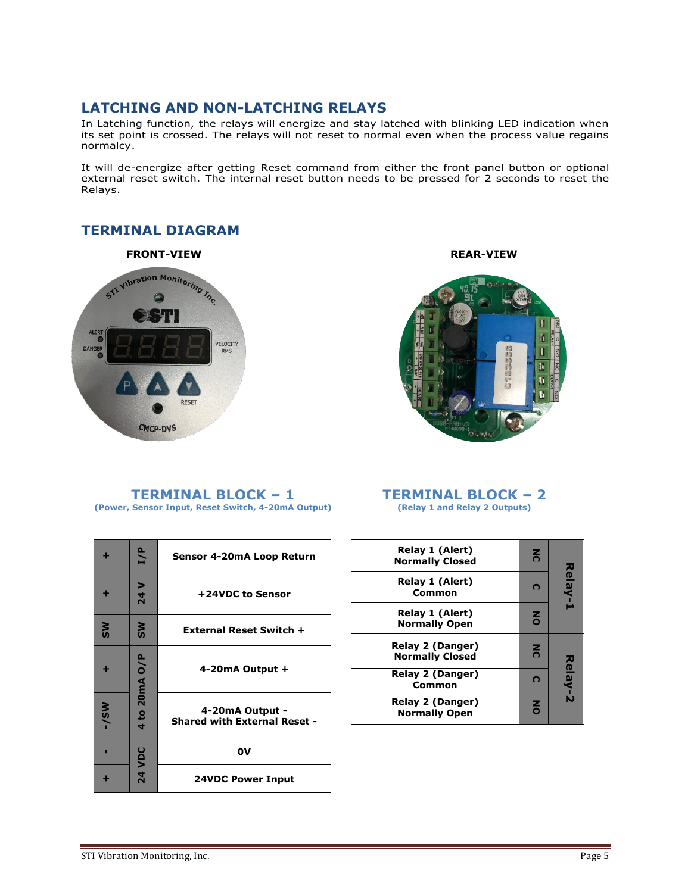#### <span id="page-4-0"></span>**LATCHING AND NON-LATCHING RELAYS**

In Latching function, the relays will energize and stay latched with blinking LED indication when its set point is crossed. The relays will not reset to normal even when the process value regains normalcy.

It will de-energize after getting Reset command from either the front panel button or optional external reset switch. The internal reset button needs to be pressed for 2 seconds to reset the Relays.

#### <span id="page-4-1"></span>**TERMINAL DIAGRAM**

#### **FRONT-VIEW REAR-VIEW**







<span id="page-4-2"></span>**TERMINAL BLOCK – 1 (Power, Sensor Input, Reset Switch, 4-20mA Output)**

#### <span id="page-4-3"></span>**TERMINAL BLOCK – 2 (Relay 1 and Relay 2 Outputs)**

|           | I/P           | Sensor 4-20mA Loop Return                              |
|-----------|---------------|--------------------------------------------------------|
|           | 24 V          | +24VDC to Sensor                                       |
| <b>SM</b> | SW            | <b>External Reset Switch +</b>                         |
|           | to 20mA O/P   | 4-20 $mA$ Output +                                     |
| $W-1$     | 4             | 4-20mA Output -<br><b>Shared with External Reset -</b> |
| п         |               | 0V                                                     |
|           | <b>24 VDC</b> | <b>24VDC Power Input</b>                               |

| Relay 1 (Alert)<br><b>Normally Closed</b>       | $\overline{6}$ |         |
|-------------------------------------------------|----------------|---------|
| <b>Relay 1 (Alert)</b><br>Common                | O              | Relay-1 |
| Relay 1 (Alert)<br><b>Normally Open</b>         | $\overline{6}$ |         |
| Relay 2 (Danger)<br><b>Normally Closed</b>      | $\overline{6}$ |         |
| <b>Relay 2 (Danger)</b><br>Common               | C              | Relay-2 |
| <b>Relay 2 (Danger)</b><br><b>Normally Open</b> | $\overline{6}$ |         |